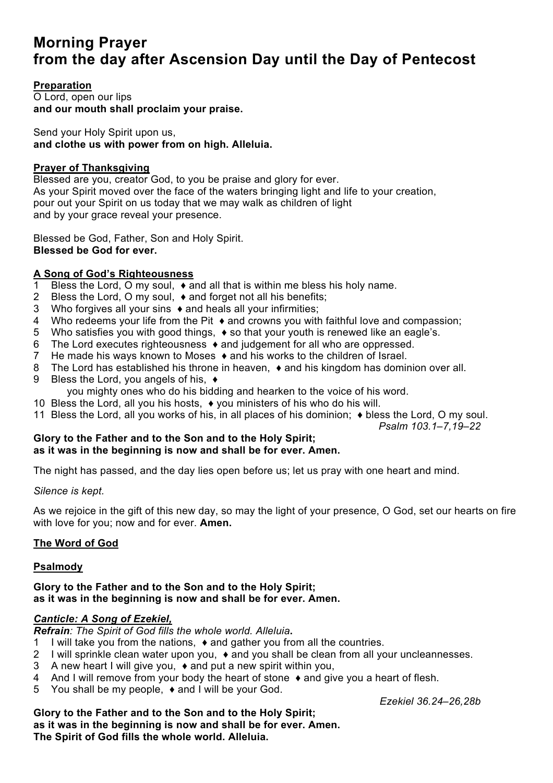# **Morning Prayer from the day after Ascension Day until the Day of Pentecost**

# **Preparation**

O Lord, open our lips **and our mouth shall proclaim your praise.**

Send your Holy Spirit upon us, **and clothe us with power from on high. Alleluia.**

## **Prayer of Thanksgiving**

Blessed are you, creator God, to you be praise and glory for ever. As your Spirit moved over the face of the waters bringing light and life to your creation, pour out your Spirit on us today that we may walk as children of light and by your grace reveal your presence.

Blessed be God, Father, Son and Holy Spirit. **Blessed be God for ever.**

# **A Song of God's Righteousness**

- 1 Bless the Lord, O my soul, ♦ and all that is within me bless his holy name.
- 2 Bless the Lord, O my soul, ♦ and forget not all his benefits;
- 3 Who forgives all your sins ♦ and heals all your infirmities;
- 4 Who redeems your life from the Pit ♦ and crowns you with faithful love and compassion;
- 5 Who satisfies you with good things, ♦ so that your youth is renewed like an eagle's.
- 6 The Lord executes righteousness ♦ and judgement for all who are oppressed.
- 7 He made his ways known to Moses ♦ and his works to the children of Israel.
- 8 The Lord has established his throne in heaven, ♦ and his kingdom has dominion over all.
- 9 Bless the Lord, you angels of his, ♦
	- you mighty ones who do his bidding and hearken to the voice of his word.
- 10 Bless the Lord, all you his hosts, ♦ you ministers of his who do his will.
- 11 Bless the Lord, all you works of his, in all places of his dominion; ♦ bless the Lord, O my soul.

*Psalm 103.1–7,19–22*

#### **Glory to the Father and to the Son and to the Holy Spirit; as it was in the beginning is now and shall be for ever. Amen.**

The night has passed, and the day lies open before us; let us pray with one heart and mind.

*Silence is kept.*

As we rejoice in the gift of this new day, so may the light of your presence, O God, set our hearts on fire with love for you; now and for ever. **Amen.**

# **The Word of God**

## **Psalmody**

#### **Glory to the Father and to the Son and to the Holy Spirit; as it was in the beginning is now and shall be for ever. Amen.**

# *Canticle: A Song of Ezekiel,*

*Refrain: The Spirit of God fills the whole world. Alleluia***.**

- 1 I will take you from the nations, ♦ and gather you from all the countries.
- 2 I will sprinkle clean water upon you, ♦ and you shall be clean from all your uncleannesses.
- 3 A new heart I will give you, ♦ and put a new spirit within you,
- 4 And I will remove from your body the heart of stone ♦ and give you a heart of flesh.
- 5 You shall be my people, ♦ and I will be your God.

*Ezekiel 36.24–26,28b*

**Glory to the Father and to the Son and to the Holy Spirit; as it was in the beginning is now and shall be for ever. Amen. The Spirit of God fills the whole world. Alleluia.**